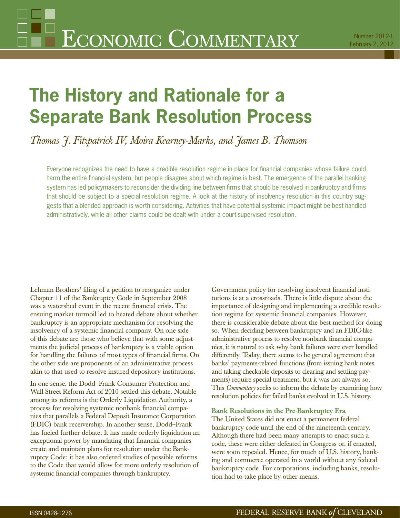# **The History and Rationale for a Separate Bank Resolution Process**

*Thomas J. Fitzpatrick IV, Moira Kearney-Marks, and James B. Thomson*

Everyone recognizes the need to have a credible resolution regime in place for financial companies whose failure could harm the entire financial system, but people disagree about which regime is best. The emergence of the parallel banking system has led policymakers to reconsider the dividing line between firms that should be resolved in bankruptcy and firms that should be subject to a special resolution regime. A look at the history of insolvency resolution in this country suggests that a blended approach is worth considering. Activities that have potential systemic impact might be best handled administratively, while all other claims could be dealt with under a court-supervised resolution.

Lehman Brothers' filing of a petition to reorganize under Chapter 11 of the Bankruptcy Code in September 2008 was a watershed event in the recent financial crisis. The ensuing market turmoil led to heated debate about whether bankruptcy is an appropriate mechanism for resolving the insolvency of a systemic financial company. On one side of this debate are those who believe that with some adjustments the judicial process of bankruptcy is a viable option for handling the failures of most types of financial firms. On the other side are proponents of an administrative process akin to that used to resolve insured depository institutions.

In one sense, the Dodd–Frank Consumer Protection and Wall Street Reform Act of 2010 settled this debate. Notable among its reforms is the Orderly Liquidation Authority, a process for resolving systemic nonbank financial companies that parallels a Federal Deposit Insurance Corporation (FDIC) bank receivership. In another sense, Dodd–Frank has fueled further debate: It has made orderly liquidation an exceptional power by mandating that financial companies create and maintain plans for resolution under the Bankruptcy Code; it has also ordered studies of possible reforms to the Code that would allow for more orderly resolution of systemic financial companies through bankruptcy.

Government policy for resolving insolvent financial institutions is at a crossroads. There is little dispute about the importance of designing and implementing a credible resolution regime for systemic financial companies. However, there is considerable debate about the best method for doing so. When deciding between bankruptcy and an FDIC-like administrative process to resolve nonbank financial companies, it is natural to ask why bank failures were ever handled differently. Today, there seems to be general agreement that banks' payments-related functions (from issuing bank notes and taking checkable deposits to clearing and settling payments) require special treatment, but it was not always so. This *Commentary* seeks to inform the debate by examining how resolution policies for failed banks evolved in U.S. history.

# **Bank Resolutions in the Pre-Bankruptcy Era**

The United States did not enact a permanent federal bankruptcy code until the end of the nineteenth century. Although there had been many attempts to enact such a code, these were either defeated in Congress or, if enacted, were soon repealed. Hence, for much of U.S. history, banking and commerce operated in a world without any federal bankruptcy code. For corporations, including banks, resolution had to take place by other means.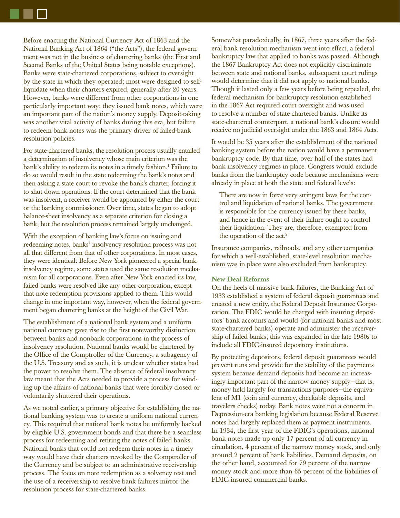Before enacting the National Currency Act of 1863 and the National Banking Act of 1864 ("the Acts"), the federal government was not in the business of chartering banks (the First and Second Banks of the United States being notable exceptions). Banks were state-chartered corporations, subject to oversight by the state in which they operated; most were designed to selfliquidate when their charters expired, generally after 20 years. However, banks were different from other corporations in one particularly important way: they issued bank notes, which were an important part of the nation's money supply. Deposit-taking was another vital activity of banks during this era, but failure to redeem bank notes was the primary driver of failed-bank resolution policies.

For state-chartered banks, the resolution process usually entailed a determination of insolvency whose main criterion was the bank's ability to redeem its notes in a timely fashion.<sup>1</sup> Failure to do so would result in the state redeeming the bank's notes and then asking a state court to revoke the bank's charter, forcing it to shut down operations. If the court determined that the bank was insolvent, a receiver would be appointed by either the court or the banking commissioner. Over time, states began to adopt balance-sheet insolvency as a separate criterion for closing a bank, but the resolution process remained largely unchanged.

With the exception of banking law's focus on issuing and redeeming notes, banks' insolvency resolution process was not all that different from that of other corporations. In most cases, they were identical: Before New York pioneered a special bankinsolvency regime, some states used the same resolution mechanism for all corporations. Even after New York enacted its law, failed banks were resolved like any other corporation, except that note redemption provisions applied to them. This would change in one important way, however, when the federal government began chartering banks at the height of the Civil War.

The establishment of a national bank system and a uniform national currency gave rise to the first noteworthy distinction between banks and nonbank corporations in the process of insolvency resolution. National banks would be chartered by the Office of the Comptroller of the Currency, a subagency of the U.S. Treasury and as such, it is unclear whether states had the power to resolve them. The absence of federal insolvency law meant that the Acts needed to provide a process for winding up the affairs of national banks that were forcibly closed or voluntarily shuttered their operations.

As we noted earlier, a primary objective for establishing the national banking system was to create a uniform national currency. This required that national bank notes be uniformly backed by eligible U.S. government bonds and that there be a seamless process for redeeming and retiring the notes of failed banks. National banks that could not redeem their notes in a timely way would have their charters revoked by the Comptroller of the Currency and be subject to an administrative receivership process. The focus on note redemption as a solvency test and the use of a receivership to resolve bank failures mirror the resolution process for state-chartered banks.

Somewhat paradoxically, in 1867, three years after the federal bank resolution mechanism went into effect, a federal bankruptcy law that applied to banks was passed. Although the 1867 Bankruptcy Act does not explicitly discriminate between state and national banks, subsequent court rulings would determine that it did not apply to national banks. Though it lasted only a few years before being repealed, the federal mechanism for bankruptcy resolution established in the 1867 Act required court oversight and was used to resolve a number of state-chartered banks. Unlike its state-chartered counterpart, a national bank's closure would receive no judicial oversight under the 1863 and 1864 Acts.

It would be 35 years after the establishment of the national banking system before the nation would have a permanent bankruptcy code. By that time, over half of the states had bank insolvency regimes in place. Congress would exclude banks from the bankruptcy code because mechanisms were already in place at both the state and federal levels:

There are now in force very stringent laws for the control and liquidation of national banks. The government is responsible for the currency issued by these banks, and hence in the event of their failure ought to control their liquidation. They are, therefore, exempted from the operation of the act.<sup>2</sup>

Insurance companies, railroads, and any other companies for which a well-established, state-level resolution mechanism was in place were also excluded from bankruptcy.

# **New Deal Reforms**

On the heels of massive bank failures, the Banking Act of 1933 established a system of federal deposit guarantees and created a new entity, the Federal Deposit Insurance Corporation. The FDIC would be charged with insuring depositors' bank accounts and would (for national banks and most state-chartered banks) operate and administer the receivership of failed banks; this was expanded in the late 1980s to include all FDIC-insured depository institutions.

By protecting depositors, federal deposit guarantees would prevent runs and provide for the stability of the payments system because demand deposits had become an increasingly important part of the narrow money supply—that is, money held largely for transactions purposes—the equivalent of M1 (coin and currency, checkable deposits, and travelers checks) today. Bank notes were not a concern in Depression-era banking legislation because Federal Reserve notes had largely replaced them as payment instruments. In 1934, the first year of the FDIC's operations, national bank notes made up only 17 percent of all currency in circulation, 4 percent of the narrow money stock, and only around 2 percent of bank liabilities. Demand deposits, on the other hand, accounted for 79 percent of the narrow money stock and more than 65 percent of the liabilities of FDIC-insured commercial banks.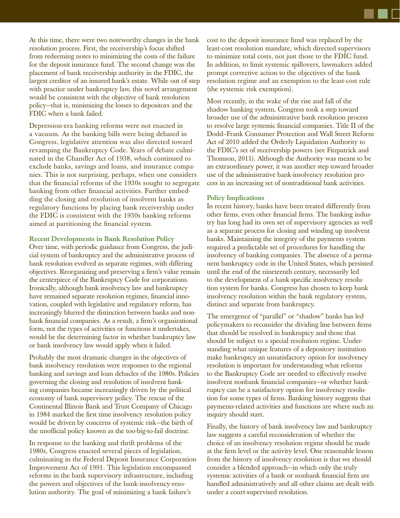At this time, there were two noteworthy changes in the bank resolution process. First, the receivership's focus shifted from redeeming notes to minimizing the costs of the failure for the deposit insurance fund. The second change was the placement of bank receivership authority in the FDIC, the largest creditor of an insured bank's estate. While out of step with practice under bankruptcy law, this novel arrangement would be consistent with the objective of bank resolution policy—that is, minimizing the losses to depositors and the FDIC when a bank failed.

Depression-era banking reforms were not enacted in a vacuum. As the banking bills were being debated in Congress, legislative attention was also directed toward revamping the Bankruptcy Code. Years of debate culminated in the Chandler Act of 1938, which continued to exclude banks, savings and loans, and insurance companies. This is not surprising, perhaps, when one considers that the financial reforms of the 1930s sought to segregate banking from other financial activities. Further embedding the closing and resolution of insolvent banks as regulatory functions by placing bank receivership under the FDIC is consistent with the 1930s banking reforms aimed at partitioning the financial system.

### **Recent Developments in Bank Resolution Policy**

Over time, with periodic guidance from Congress, the judicial system of bankruptcy and the administrative process of bank resolution evolved as separate regimes, with differing objectives. Reorganizing and preserving a firm's value remain the centerpiece of the Bankruptcy Code for corporations. Ironically, although bank insolvency law and bankruptcy have remained separate resolution regimes, financial innovation, coupled with legislative and regulatory reform, has increasingly blurred the distinction between banks and nonbank financial companies. As a result, a firm's organizational form, not the types of activities or functions it undertakes, would be the determining factor in whether bankruptcy law or bank insolvency law would apply when it failed.

Probably the most dramatic changes in the objectives of bank insolvency resolution were responses to the regional banking and savings and loan debacles of the 1980s. Policies governing the closing and resolution of insolvent banking companies became increasingly driven by the political economy of bank supervisory policy. The rescue of the Continental Illinois Bank and Trust Company of Chicago in 1984 marked the first time insolvency resolution policy would be driven by concerns of systemic risk—the birth of the unofficial policy known as the too-big-to-fail doctrine.

In response to the banking and thrift problems of the 1980s, Congress enacted several pieces of legislation, culminating in the Federal Deposit Insurance Corporation Improvement Act of 1991. This legislation encompassed reforms in the bank supervisory infrastructure, including the powers and objectives of the bank-insolvency-resolution authority. The goal of minimizing a bank failure's

cost to the deposit insurance fund was replaced by the least-cost resolution mandate, which directed supervisors to minimize total costs, not just those to the FDIC fund. In addition, to limit systemic spillovers, lawmakers added prompt corrective action to the objectives of the bank resolution regime and an exemption to the least-cost rule (the systemic risk exemption).

Most recently, in the wake of the rise and fall of the shadow banking system, Congress took a step toward broader use of the administrative bank resolution process to resolve large systemic financial companies. Title II of the Dodd–Frank Consumer Protection and Wall Street Reform Act of 2010 added the Orderly Liquidation Authority to the FDIC's set of receivership powers (see Fitzpatrick and Thomson, 2011). Although the Authority was meant to be an extraordinary power, it was another step toward broader use of the administrative bank-insolvency resolution process in an increasing set of nontraditional bank activities.

### **Policy Implications**

In recent history, banks have been treated differently from other firms, even other financial firms. The banking industry has long had its own set of supervisory agencies as well as a separate process for closing and winding up insolvent banks. Maintaining the integrity of the payments system required a predictable set of procedures for handling the insolvency of banking companies. The absence of a permanent bankruptcy code in the United States, which persisted until the end of the nineteenth century, necessarily led to the development of a bank-specific insolvency resolution system for banks. Congress has chosen to keep bank insolvency resolution within the bank regulatory system, distinct and separate from bankruptcy.

The emergence of "parallel" or "shadow" banks has led policymakers to reconsider the dividing line between firms that should be resolved in bankruptcy and those that should be subject to a special resolution regime. Understanding what unique features of a depository institution make bankruptcy an unsatisfactory option for insolvency resolution is important for understanding what reforms to the Bankruptcy Code are needed to effectively resolve insolvent nonbank financial companies—or whether bankruptcy can be a satisfactory option for insolvency resolution for some types of firms. Banking history suggests that payments-related activities and functions are where such an inquiry should start.

Finally, the history of bank insolvency law and bankruptcy law suggests a careful reconsideration of whether the choice of an insolvency resolution regime should be made at the firm level or the activity level. One reasonable lesson from the history of insolvency resolution is that we should consider a blended approach—in which only the truly systemic activities of a bank or nonbank financial firm are handled administratively and all other claims are dealt with under a court-supervised resolution.